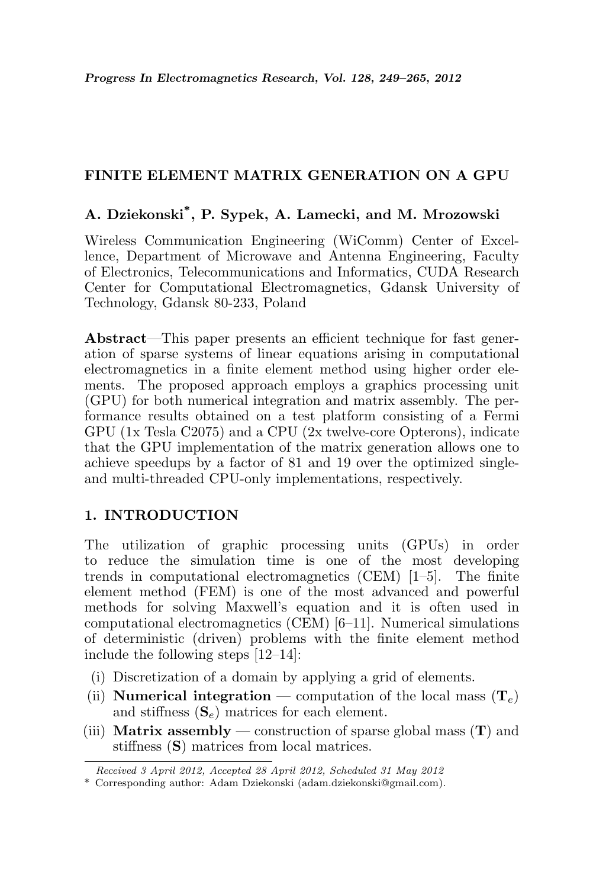# FINITE ELEMENT MATRIX GENERATION ON A GPU

# A. Dziekonski\* , P. Sypek, A. Lamecki, and M. Mrozowski

Wireless Communication Engineering (WiComm) Center of Excellence, Department of Microwave and Antenna Engineering, Faculty of Electronics, Telecommunications and Informatics, CUDA Research Center for Computational Electromagnetics, Gdansk University of Technology, Gdansk 80-233, Poland

Abstract—This paper presents an efficient technique for fast generation of sparse systems of linear equations arising in computational electromagnetics in a finite element method using higher order elements. The proposed approach employs a graphics processing unit (GPU) for both numerical integration and matrix assembly. The performance results obtained on a test platform consisting of a Fermi GPU (1x Tesla C2075) and a CPU (2x twelve-core Opterons), indicate that the GPU implementation of the matrix generation allows one to achieve speedups by a factor of 81 and 19 over the optimized singleand multi-threaded CPU-only implementations, respectively.

# 1. INTRODUCTION

The utilization of graphic processing units (GPUs) in order to reduce the simulation time is one of the most developing trends in computational electromagnetics (CEM) [1–5]. The finite element method (FEM) is one of the most advanced and powerful methods for solving Maxwell's equation and it is often used in computational electromagnetics (CEM) [6–11]. Numerical simulations of deterministic (driven) problems with the finite element method include the following steps [12–14]:

- (i) Discretization of a domain by applying a grid of elements.
- (ii) **Numerical integration** computation of the local mass  $(T_e)$ and stiffness  $({\bf S}_e)$  matrices for each element.
- (iii) **Matrix assembly** construction of sparse global mass  $(T)$  and stiffness (S) matrices from local matrices.

Received 3 April 2012, Accepted 28 April 2012, Scheduled 31 May 2012

<sup>\*</sup> Corresponding author: Adam Dziekonski (adam.dziekonski@gmail.com).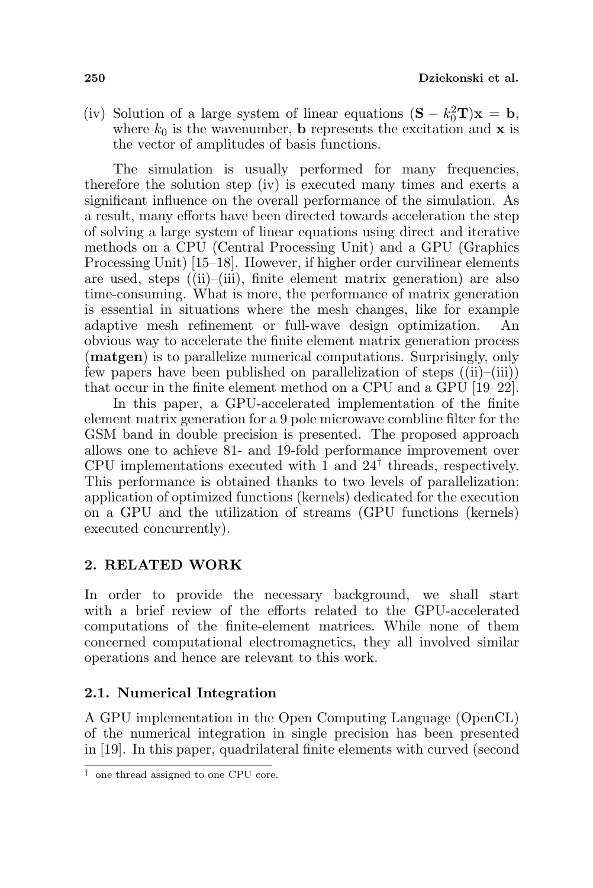(iv) Solution of a large system of linear equations  $(S - k_0^2 T)x = b$ , where  $k_0$  is the wavenumber, **b** represents the excitation and **x** is the vector of amplitudes of basis functions.

The simulation is usually performed for many frequencies, therefore the solution step (iv) is executed many times and exerts a significant influence on the overall performance of the simulation. As a result, many efforts have been directed towards acceleration the step of solving a large system of linear equations using direct and iterative methods on a CPU (Central Processing Unit) and a GPU (Graphics Processing Unit) [15–18]. However, if higher order curvilinear elements are used, steps ((ii)–(iii), finite element matrix generation) are also time-consuming. What is more, the performance of matrix generation is essential in situations where the mesh changes, like for example adaptive mesh refinement or full-wave design optimization. An obvious way to accelerate the finite element matrix generation process (matgen) is to parallelize numerical computations. Surprisingly, only few papers have been published on parallelization of steps  $((ii)–(iii))$ that occur in the finite element method on a CPU and a GPU [19–22].

In this paper, a GPU-accelerated implementation of the finite element matrix generation for a 9 pole microwave combline filter for the GSM band in double precision is presented. The proposed approach allows one to achieve 81- and 19-fold performance improvement over CPU implementations executed with  $\hat{1}$  and  $24^{\dagger}$  threads, respectively. This performance is obtained thanks to two levels of parallelization: application of optimized functions (kernels) dedicated for the execution on a GPU and the utilization of streams (GPU functions (kernels) executed concurrently).

## 2. RELATED WORK

In order to provide the necessary background, we shall start with a brief review of the efforts related to the GPU-accelerated computations of the finite-element matrices. While none of them concerned computational electromagnetics, they all involved similar operations and hence are relevant to this work.

## 2.1. Numerical Integration

A GPU implementation in the Open Computing Language (OpenCL) of the numerical integration in single precision has been presented in [19]. In this paper, quadrilateral finite elements with curved (second

<sup>†</sup> one thread assigned to one CPU core.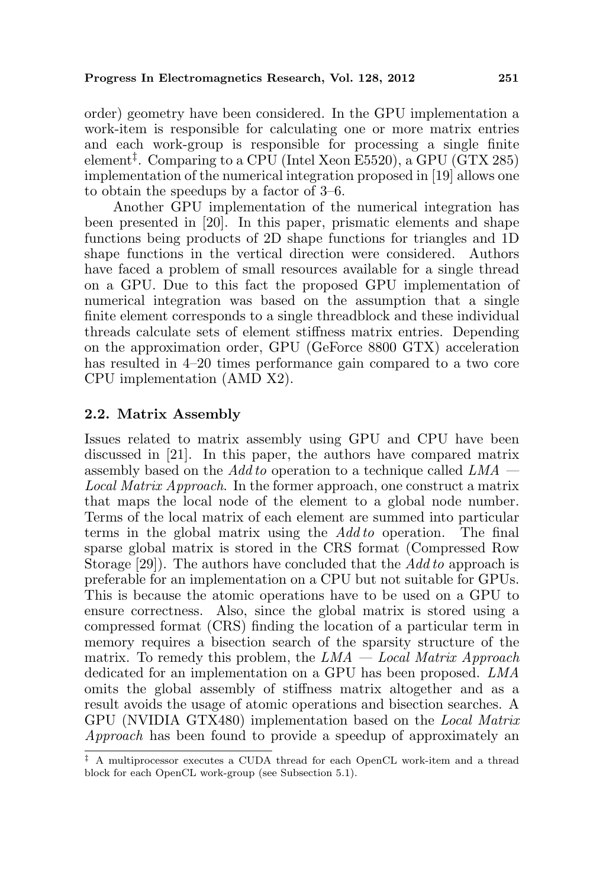order) geometry have been considered. In the GPU implementation a work-item is responsible for calculating one or more matrix entries and each work-group is responsible for processing a single finite element‡ . Comparing to a CPU (Intel Xeon E5520), a GPU (GTX 285) implementation of the numerical integration proposed in [19] allows one to obtain the speedups by a factor of 3–6.

Another GPU implementation of the numerical integration has been presented in [20]. In this paper, prismatic elements and shape functions being products of 2D shape functions for triangles and 1D shape functions in the vertical direction were considered. Authors have faced a problem of small resources available for a single thread on a GPU. Due to this fact the proposed GPU implementation of numerical integration was based on the assumption that a single finite element corresponds to a single threadblock and these individual threads calculate sets of element stiffness matrix entries. Depending on the approximation order, GPU (GeForce 8800 GTX) acceleration has resulted in 4–20 times performance gain compared to a two core CPU implementation (AMD X2).

## 2.2. Matrix Assembly

Issues related to matrix assembly using GPU and CPU have been discussed in [21]. In this paper, the authors have compared matrix assembly based on the Add to operation to a technique called  $LMA$  — Local Matrix Approach. In the former approach, one construct a matrix that maps the local node of the element to a global node number. Terms of the local matrix of each element are summed into particular terms in the global matrix using the Add to operation. The final sparse global matrix is stored in the CRS format (Compressed Row Storage [29]). The authors have concluded that the Add to approach is preferable for an implementation on a CPU but not suitable for GPUs. This is because the atomic operations have to be used on a GPU to ensure correctness. Also, since the global matrix is stored using a compressed format (CRS) finding the location of a particular term in memory requires a bisection search of the sparsity structure of the matrix. To remedy this problem, the  $LMA - Local Matrix Approach$ dedicated for an implementation on a GPU has been proposed. LMA omits the global assembly of stiffness matrix altogether and as a result avoids the usage of atomic operations and bisection searches. A GPU (NVIDIA GTX480) implementation based on the Local Matrix Approach has been found to provide a speedup of approximately an

<sup>‡</sup> A multiprocessor executes a CUDA thread for each OpenCL work-item and a thread block for each OpenCL work-group (see Subsection 5.1).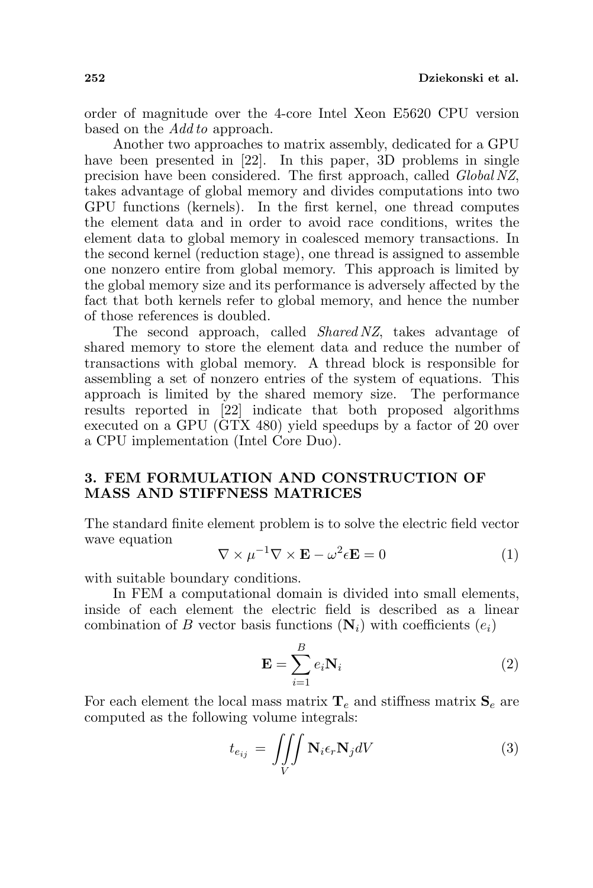order of magnitude over the 4-core Intel Xeon E5620 CPU version based on the *Add to* approach.

Another two approaches to matrix assembly, dedicated for a GPU have been presented in [22]. In this paper, 3D problems in single precision have been considered. The first approach, called Global NZ, takes advantage of global memory and divides computations into two GPU functions (kernels). In the first kernel, one thread computes the element data and in order to avoid race conditions, writes the element data to global memory in coalesced memory transactions. In the second kernel (reduction stage), one thread is assigned to assemble one nonzero entire from global memory. This approach is limited by the global memory size and its performance is adversely affected by the fact that both kernels refer to global memory, and hence the number of those references is doubled.

The second approach, called *Shared NZ*, takes advantage of shared memory to store the element data and reduce the number of transactions with global memory. A thread block is responsible for assembling a set of nonzero entries of the system of equations. This approach is limited by the shared memory size. The performance results reported in [22] indicate that both proposed algorithms executed on a GPU (GTX 480) yield speedups by a factor of 20 over a CPU implementation (Intel Core Duo).

### 3. FEM FORMULATION AND CONSTRUCTION OF MASS AND STIFFNESS MATRICES

The standard finite element problem is to solve the electric field vector wave equation

$$
\nabla \times \mu^{-1} \nabla \times \mathbf{E} - \omega^2 \epsilon \mathbf{E} = 0 \tag{1}
$$

with suitable boundary conditions.

In FEM a computational domain is divided into small elements, inside of each element the electric field is described as a linear combination of B vector basis functions  $(N_i)$  with coefficients  $(e_i)$ 

$$
\mathbf{E} = \sum_{i=1}^{B} e_i \mathbf{N}_i
$$
 (2)

For each element the local mass matrix  $\mathbf{T}_e$  and stiffness matrix  $\mathbf{S}_e$  are computed as the following volume integrals:

$$
t_{e_{ij}} = \iiint\limits_V \mathbf{N}_i \epsilon_r \mathbf{N}_j dV \tag{3}
$$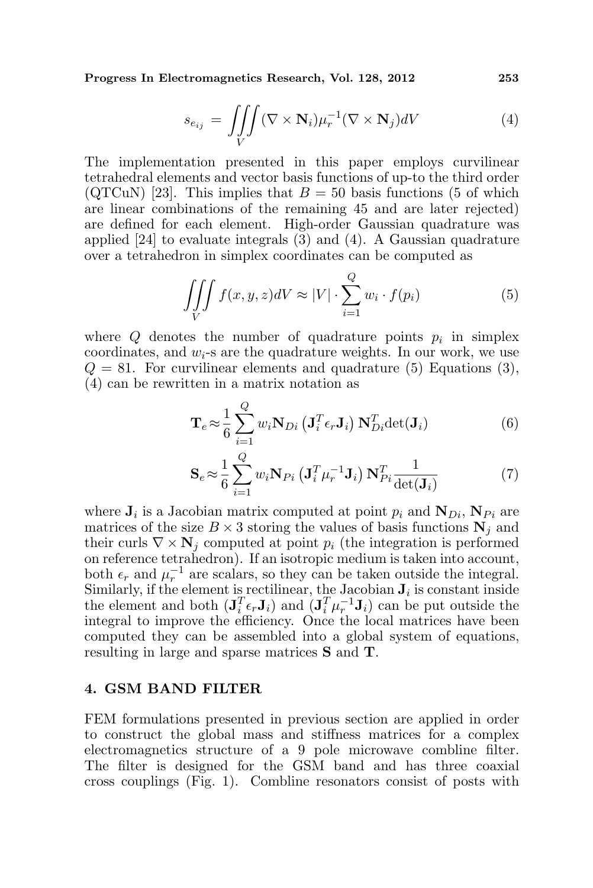Progress In Electromagnetics Research, Vol. 128, 2012 253

$$
s_{e_{ij}} = \iiint\limits_V (\nabla \times \mathbf{N}_i) \mu_r^{-1} (\nabla \times \mathbf{N}_j) dV \tag{4}
$$

The implementation presented in this paper employs curvilinear tetrahedral elements and vector basis functions of up-to the third order (QTCuN) [23]. This implies that  $B = 50$  basis functions (5 of which are linear combinations of the remaining 45 and are later rejected) are defined for each element. High-order Gaussian quadrature was applied  $[24]$  to evaluate integrals  $(3)$  and  $(4)$ . A Gaussian quadrature over a tetrahedron in simplex coordinates can be computed as

$$
\iiint\limits_V f(x, y, z)dV \approx |V| \cdot \sum_{i=1}^Q w_i \cdot f(p_i)
$$
 (5)

where  $Q$  denotes the number of quadrature points  $p_i$  in simplex coordinates, and  $w_i$ -s are the quadrature weights. In our work, we use  $Q = 81$ . For curvilinear elements and quadrature (5) Equations (3), (4) can be rewritten in a matrix notation as

$$
\mathbf{T}_e \approx \frac{1}{6} \sum_{i=1}^{Q} w_i \mathbf{N}_{Di} \left( \mathbf{J}_i^T \epsilon_r \mathbf{J}_i \right) \mathbf{N}_{Di}^T \det(\mathbf{J}_i)
$$
(6)

$$
\mathbf{S}_e \approx \frac{1}{6} \sum_{i=1}^{Q} w_i \mathbf{N}_{Pi} \left( \mathbf{J}_i^T \boldsymbol{\mu}_r^{-1} \mathbf{J}_i \right) \mathbf{N}_{Pi}^T \frac{1}{\det(\mathbf{J}_i)}
$$
(7)

where  $J_i$  is a Jacobian matrix computed at point  $p_i$  and  $N_{Di}$ ,  $N_{Pi}$  are matrices of the size  $B \times 3$  storing the values of basis functions  $N_i$  and their curls  $\nabla \times \mathbf{N}_i$  computed at point  $p_i$  (the integration is performed on reference tetrahedron). If an isotropic medium is taken into account, both  $\epsilon_r$  and  $\mu_r^{-1}$  are scalars, so they can be taken outside the integral. Similarly, if the element is rectilinear, the Jacobian  $J_i$  is constant inside the element and both  $(\mathbf{J}_i^T \epsilon_r \mathbf{J}_i)$  and  $(\mathbf{J}_i^T \mu_r^{-1} \mathbf{J}_i)$  can be put outside the integral to improve the efficiency. Once the local matrices have been computed they can be assembled into a global system of equations, resulting in large and sparse matrices S and T.

#### 4. GSM BAND FILTER

FEM formulations presented in previous section are applied in order to construct the global mass and stiffness matrices for a complex electromagnetics structure of a 9 pole microwave combline filter. The filter is designed for the GSM band and has three coaxial cross couplings (Fig. 1). Combline resonators consist of posts with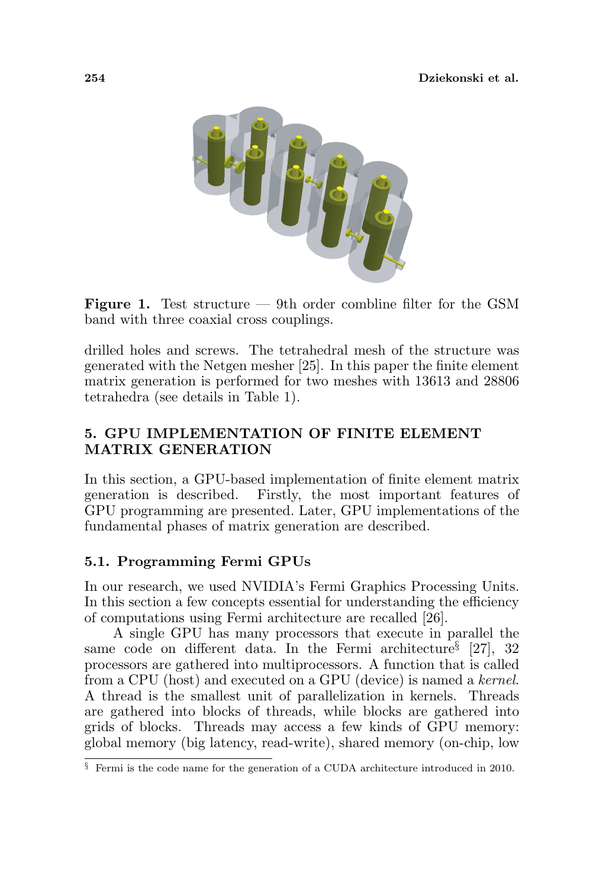

Figure 1. Test structure — 9th order combline filter for the GSM band with three coaxial cross couplings.

drilled holes and screws. The tetrahedral mesh of the structure was generated with the Netgen mesher [25]. In this paper the finite element matrix generation is performed for two meshes with 13613 and 28806 tetrahedra (see details in Table 1).

## 5. GPU IMPLEMENTATION OF FINITE ELEMENT MATRIX GENERATION

In this section, a GPU-based implementation of finite element matrix generation is described. Firstly, the most important features of GPU programming are presented. Later, GPU implementations of the fundamental phases of matrix generation are described.

# 5.1. Programming Fermi GPUs

In our research, we used NVIDIA's Fermi Graphics Processing Units. In this section a few concepts essential for understanding the efficiency of computations using Fermi architecture are recalled [26].

A single GPU has many processors that execute in parallel the same code on different data. In the Fermi architecture<sup>§</sup> [27], 32 processors are gathered into multiprocessors. A function that is called from a CPU (host) and executed on a GPU (device) is named a kernel. A thread is the smallest unit of parallelization in kernels. Threads are gathered into blocks of threads, while blocks are gathered into grids of blocks. Threads may access a few kinds of GPU memory: global memory (big latency, read-write), shared memory (on-chip, low

<sup>§</sup> Fermi is the code name for the generation of a CUDA architecture introduced in 2010.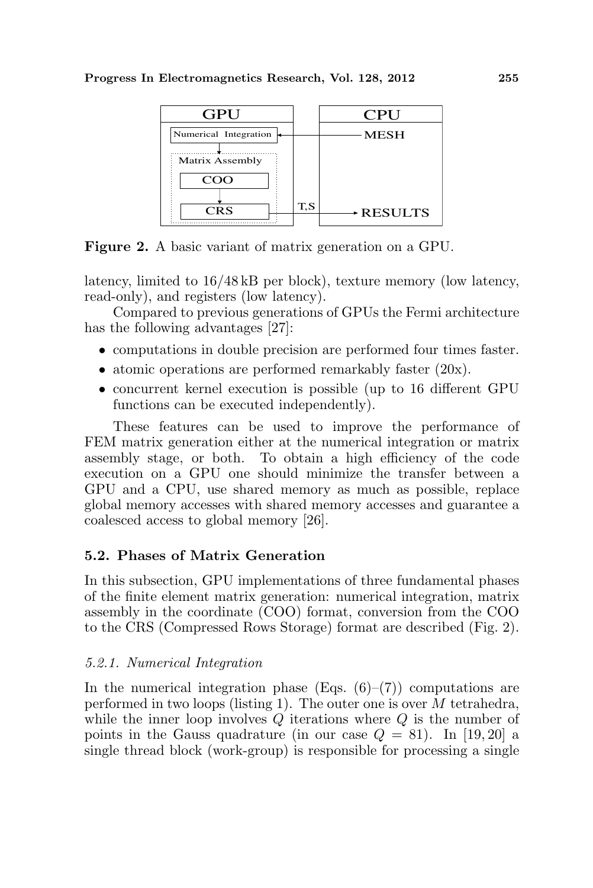

Figure 2. A basic variant of matrix generation on a GPU.

latency, limited to 16/48 kB per block), texture memory (low latency, read-only), and registers (low latency).

Compared to previous generations of GPUs the Fermi architecture has the following advantages [27]:

- computations in double precision are performed four times faster.
- atomic operations are performed remarkably faster  $(20x)$ .
- concurrent kernel execution is possible (up to 16 different GPU functions can be executed independently).

These features can be used to improve the performance of FEM matrix generation either at the numerical integration or matrix assembly stage, or both. To obtain a high efficiency of the code execution on a GPU one should minimize the transfer between a GPU and a CPU, use shared memory as much as possible, replace global memory accesses with shared memory accesses and guarantee a coalesced access to global memory [26].

# 5.2. Phases of Matrix Generation

In this subsection, GPU implementations of three fundamental phases of the finite element matrix generation: numerical integration, matrix assembly in the coordinate (COO) format, conversion from the COO to the CRS (Compressed Rows Storage) format are described (Fig. 2).

# 5.2.1. Numerical Integration

In the numerical integration phase (Eqs.  $(6)-(7)$ ) computations are performed in two loops (listing 1). The outer one is over M tetrahedra, while the inner loop involves  $Q$  iterations where  $Q$  is the number of points in the Gauss quadrature (in our case  $Q = 81$ ). In [19, 20] a single thread block (work-group) is responsible for processing a single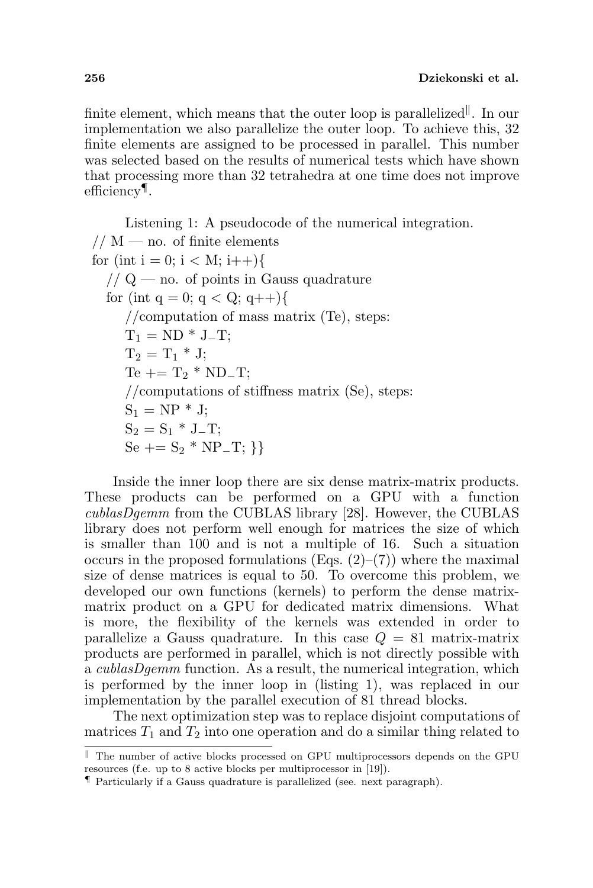finite element, which means that the outer loop is parallelized<sup>||</sup>. In our implementation we also parallelize the outer loop. To achieve this, 32 finite elements are assigned to be processed in parallel. This number was selected based on the results of numerical tests which have shown that processing more than 32 tetrahedra at one time does not improve efficiency¶ .

Listening 1: A pseudocode of the numerical integration.  $// M$  — no. of finite elements for (int i = 0; i < M; i++){  $// Q$  — no. of points in Gauss quadrature for (int q = 0; q < Q; q++){ //computation of mass matrix (Te), steps:  $T_1 = ND * J_T;$  $T_2 = T_1 * J;$  $Te += T_2 * ND_T;$ //computations of stiffness matrix (Se), steps:  $S_1 = NP * J;$  $S_2 = S_1 * J_T;$  $Se += S_2 * NP_T; \}$ 

Inside the inner loop there are six dense matrix-matrix products. These products can be performed on a GPU with a function cublasDgemm from the CUBLAS library [28]. However, the CUBLAS library does not perform well enough for matrices the size of which is smaller than 100 and is not a multiple of 16. Such a situation occurs in the proposed formulations (Eqs.  $(2)-(7)$ ) where the maximal size of dense matrices is equal to 50. To overcome this problem, we developed our own functions (kernels) to perform the dense matrixmatrix product on a GPU for dedicated matrix dimensions. What is more, the flexibility of the kernels was extended in order to parallelize a Gauss quadrature. In this case  $Q = 81$  matrix-matrix products are performed in parallel, which is not directly possible with a cublasDgemm function. As a result, the numerical integration, which is performed by the inner loop in (listing 1), was replaced in our implementation by the parallel execution of 81 thread blocks.

The next optimization step was to replace disjoint computations of matrices  $T_1$  and  $T_2$  into one operation and do a similar thing related to

 $\parallel$  The number of active blocks processed on GPU multiprocessors depends on the GPU resources (f.e. up to 8 active blocks per multiprocessor in [19]).

<sup>¶</sup> Particularly if a Gauss quadrature is parallelized (see. next paragraph).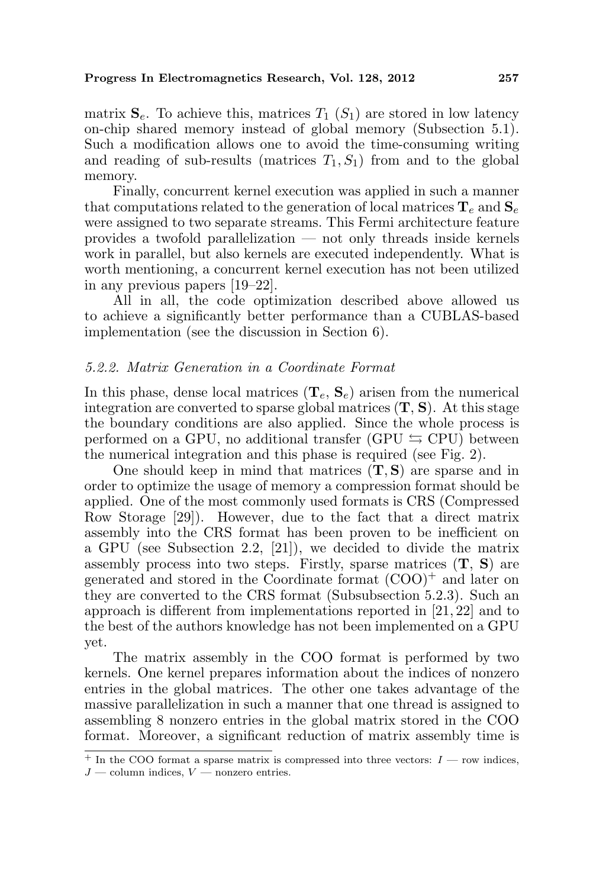matrix  $S_e$ . To achieve this, matrices  $T_1(S_1)$  are stored in low latency on-chip shared memory instead of global memory (Subsection 5.1). Such a modification allows one to avoid the time-consuming writing and reading of sub-results (matrices  $T_1, S_1$ ) from and to the global memory.

Finally, concurrent kernel execution was applied in such a manner that computations related to the generation of local matrices  $\mathbf{T}_e$  and  $\mathbf{S}_e$ were assigned to two separate streams. This Fermi architecture feature provides a twofold parallelization — not only threads inside kernels work in parallel, but also kernels are executed independently. What is worth mentioning, a concurrent kernel execution has not been utilized in any previous papers [19–22].

All in all, the code optimization described above allowed us to achieve a significantly better performance than a CUBLAS-based implementation (see the discussion in Section 6).

### 5.2.2. Matrix Generation in a Coordinate Format

In this phase, dense local matrices  $(\mathbf{T}_e, \mathbf{S}_e)$  arisen from the numerical integration are converted to sparse global matrices  $(T, S)$ . At this stage the boundary conditions are also applied. Since the whole process is performed on a GPU, no additional transfer (GPU  $\leq$  CPU) between the numerical integration and this phase is required (see Fig. 2).

One should keep in mind that matrices  $(T, S)$  are sparse and in order to optimize the usage of memory a compression format should be applied. One of the most commonly used formats is CRS (Compressed Row Storage [29]). However, due to the fact that a direct matrix assembly into the CRS format has been proven to be inefficient on a GPU (see Subsection 2.2, [21]), we decided to divide the matrix assembly process into two steps. Firstly, sparse matrices  $(T, S)$  are generated and stored in the Coordinate format  $(COO)^+$  and later on they are converted to the CRS format (Subsubsection 5.2.3). Such an approach is different from implementations reported in [21, 22] and to the best of the authors knowledge has not been implemented on a GPU yet.

The matrix assembly in the COO format is performed by two kernels. One kernel prepares information about the indices of nonzero entries in the global matrices. The other one takes advantage of the massive parallelization in such a manner that one thread is assigned to assembling 8 nonzero entries in the global matrix stored in the COO format. Moreover, a significant reduction of matrix assembly time is

 $+$  In the COO format a sparse matrix is compressed into three vectors:  $I$  — row indices,  $J$  — column indices,  $V$  — nonzero entries.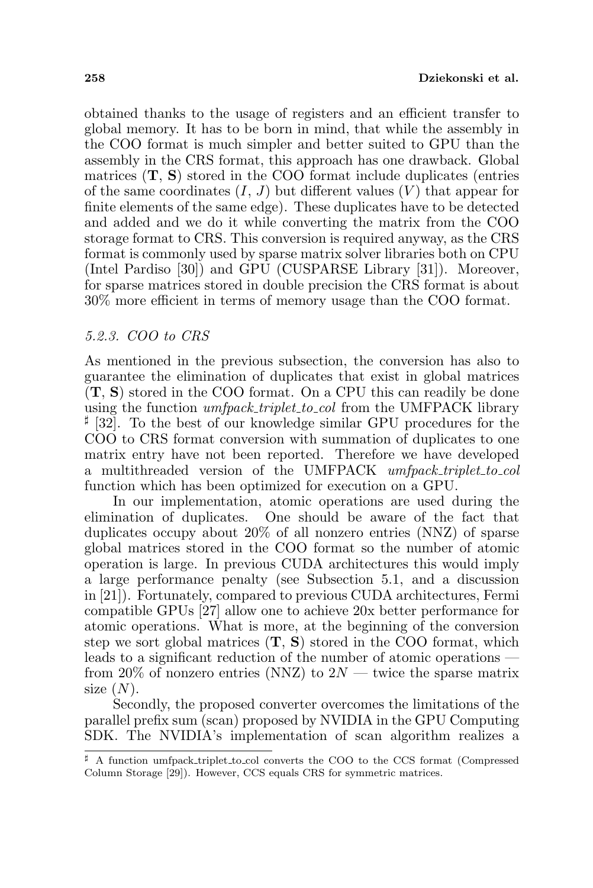obtained thanks to the usage of registers and an efficient transfer to global memory. It has to be born in mind, that while the assembly in the COO format is much simpler and better suited to GPU than the assembly in the CRS format, this approach has one drawback. Global matrices  $(T, S)$  stored in the COO format include duplicates (entries of the same coordinates  $(I, J)$  but different values  $(V)$  that appear for finite elements of the same edge). These duplicates have to be detected and added and we do it while converting the matrix from the COO storage format to CRS. This conversion is required anyway, as the CRS format is commonly used by sparse matrix solver libraries both on CPU (Intel Pardiso [30]) and GPU (CUSPARSE Library [31]). Moreover, for sparse matrices stored in double precision the CRS format is about 30% more efficient in terms of memory usage than the COO format.

### 5.2.3. COO to CRS

As mentioned in the previous subsection, the conversion has also to guarantee the elimination of duplicates that exist in global matrices (T, S) stored in the COO format. On a CPU this can readily be done using the function  $umcheck\_triplet\_to\_col$  from the UMFPACK library <sup> $\sharp$ </sup> [32]. To the best of our knowledge similar GPU procedures for the COO to CRS format conversion with summation of duplicates to one matrix entry have not been reported. Therefore we have developed a multithreaded version of the UMFPACK umfpack triplet to col function which has been optimized for execution on a GPU.

In our implementation, atomic operations are used during the elimination of duplicates. One should be aware of the fact that duplicates occupy about 20% of all nonzero entries (NNZ) of sparse global matrices stored in the COO format so the number of atomic operation is large. In previous CUDA architectures this would imply a large performance penalty (see Subsection 5.1, and a discussion in [21]). Fortunately, compared to previous CUDA architectures, Fermi compatible GPUs [27] allow one to achieve 20x better performance for atomic operations. What is more, at the beginning of the conversion step we sort global matrices  $(T, S)$  stored in the COO format, which leads to a significant reduction of the number of atomic operations from 20% of nonzero entries (NNZ) to  $2N$  — twice the sparse matrix size  $(N)$ .

Secondly, the proposed converter overcomes the limitations of the parallel prefix sum (scan) proposed by NVIDIA in the GPU Computing SDK. The NVIDIA's implementation of scan algorithm realizes a

 $\sharp$  A function umfpack triplet to col converts the COO to the CCS format (Compressed Column Storage [29]). However, CCS equals CRS for symmetric matrices.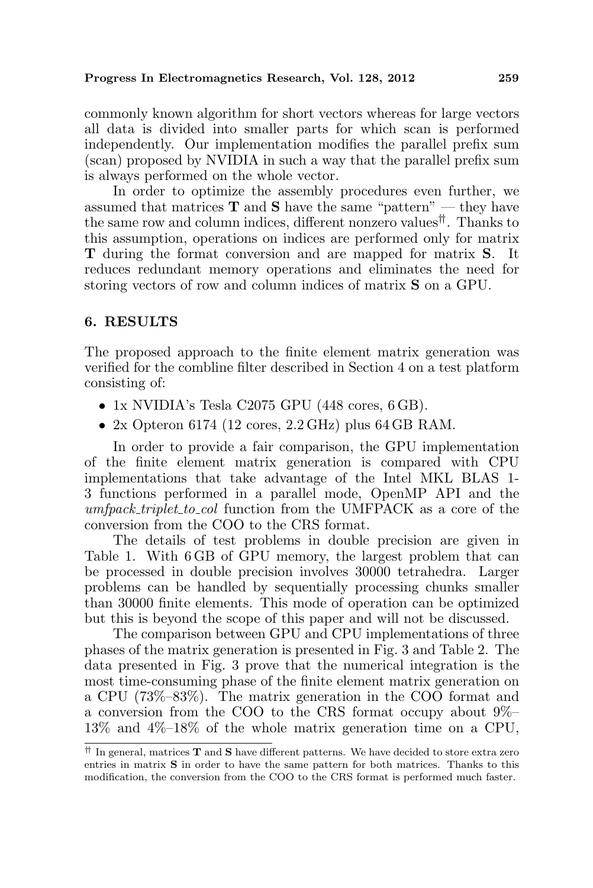commonly known algorithm for short vectors whereas for large vectors all data is divided into smaller parts for which scan is performed independently. Our implementation modifies the parallel prefix sum (scan) proposed by NVIDIA in such a way that the parallel prefix sum is always performed on the whole vector.

In order to optimize the assembly procedures even further, we assumed that matrices  $T$  and  $S$  have the same "pattern" — they have the same row and column indices, different nonzero values††. Thanks to this assumption, operations on indices are performed only for matrix T during the format conversion and are mapped for matrix S. It reduces redundant memory operations and eliminates the need for storing vectors of row and column indices of matrix S on a GPU.

### 6. RESULTS

The proposed approach to the finite element matrix generation was verified for the combline filter described in Section 4 on a test platform consisting of:

- 1x NVIDIA's Tesla C2075 GPU (448 cores, 6 GB).
- 2x Opteron 6174 (12 cores,  $2.2 \text{ GHz}$ ) plus 64 GB RAM.

In order to provide a fair comparison, the GPU implementation of the finite element matrix generation is compared with CPU implementations that take advantage of the Intel MKL BLAS 1- 3 functions performed in a parallel mode, OpenMP API and the umfpack\_triplet\_to\_col function from the UMFPACK as a core of the conversion from the COO to the CRS format.

The details of test problems in double precision are given in Table 1. With 6 GB of GPU memory, the largest problem that can be processed in double precision involves 30000 tetrahedra. Larger problems can be handled by sequentially processing chunks smaller than 30000 finite elements. This mode of operation can be optimized but this is beyond the scope of this paper and will not be discussed.

The comparison between GPU and CPU implementations of three phases of the matrix generation is presented in Fig. 3 and Table 2. The data presented in Fig. 3 prove that the numerical integration is the most time-consuming phase of the finite element matrix generation on a CPU (73%–83%). The matrix generation in the COO format and a conversion from the COO to the CRS format occupy about 9%– 13% and 4%–18% of the whole matrix generation time on a CPU,

 $\dagger$  In general, matrices **T** and **S** have different patterns. We have decided to store extra zero entries in matrix S in order to have the same pattern for both matrices. Thanks to this modification, the conversion from the COO to the CRS format is performed much faster.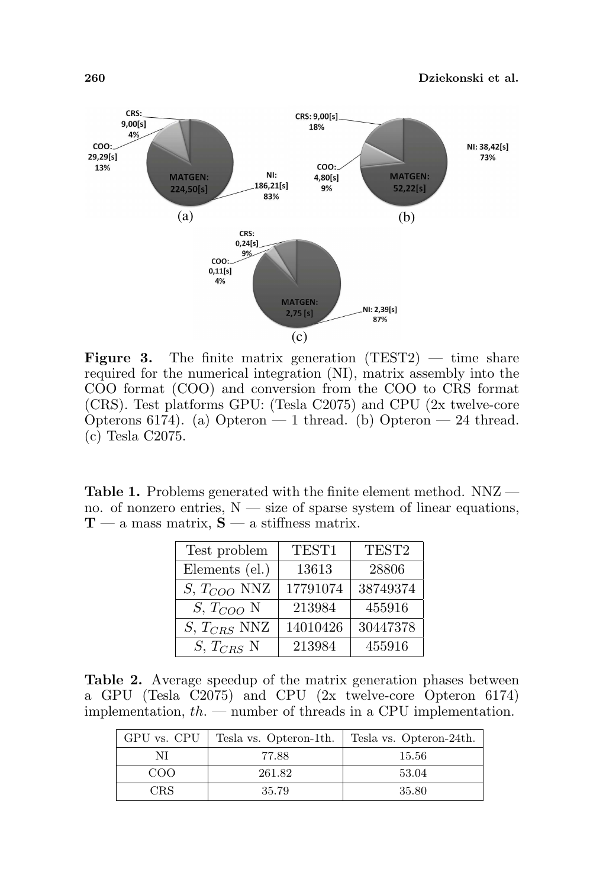

**Figure 3.** The finite matrix generation  $(TEST2)$  — time share required for the numerical integration (NI), matrix assembly into the COO format (COO) and conversion from the COO to CRS format (CRS). Test platforms GPU: (Tesla C2075) and CPU (2x twelve-core Opterons 6174). (a) Opteron — 1 thread. (b) Opteron — 24 thread. (c) Tesla C2075.

Table 1. Problems generated with the finite element method. NNZ no. of nonzero entries,  $N - size$  of sparse system of linear equations,  $T - a$  mass matrix,  $S - a$  stiffness matrix.

| Test problem     | TEST1    | TEST <sub>2</sub> |
|------------------|----------|-------------------|
| Elements (el.)   | 13613    | 28806             |
| $S, T_{COO}$ NNZ | 17791074 | 38749374          |
| $S, T_{COO}$ N   | 213984   | 455916            |
| $S, T_{CRS}$ NNZ | 14010426 | 30447378          |
| $S, T_{CRS}$ N   | 213984   | 455916            |

Table 2. Average speedup of the matrix generation phases between a GPU (Tesla C2075) and CPU (2x twelve-core Opteron 6174) implementation,  $th.$  — number of threads in a CPU implementation.

| GPU vs. CPU | Tesla vs. Opteron-1th. | Tesla vs. Opteron-24th. |
|-------------|------------------------|-------------------------|
| NI          | 77.88                  | 15.56                   |
| COO         | 261.82                 | 53.04                   |
| <b>CRS</b>  | 35.79                  | -35.80                  |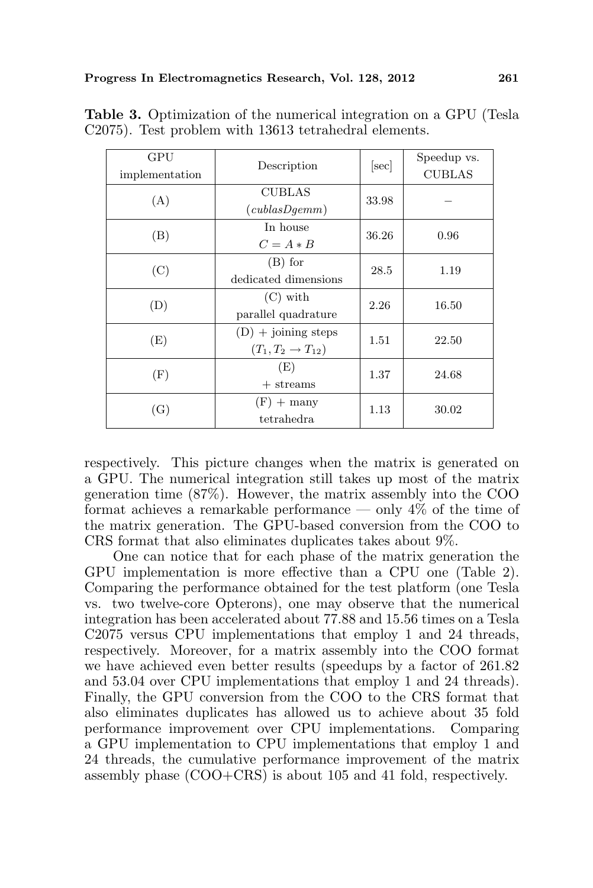| GPU            |                                 |       | Speedup vs.   |
|----------------|---------------------------------|-------|---------------|
| implementation | Description                     | [sec] | <b>CUBLAS</b> |
| (A)            | <b>CUBLAS</b>                   | 33.98 |               |
|                | (cublasDgemm)                   |       |               |
| (B)            | In house                        | 36.26 | 0.96          |
|                | $C = A * B$                     |       |               |
| (C)            | $(B)$ for                       | 28.5  | 1.19          |
|                | dedicated dimensions            |       |               |
| (D)            | $(C)$ with                      | 2.26  | 16.50         |
|                | parallel quadrature             |       |               |
| (E)            | $(D)$ + joining steps           | 1.51  | 22.50         |
|                | $(T_1, T_2 \rightarrow T_{12})$ |       |               |
| (F)            | (E)                             | 1.37  | 24.68         |
|                | $+$ streams                     |       |               |
| (G)            | $(F) +$ many                    | 1.13  | 30.02         |
|                | tetrahedra                      |       |               |

Table 3. Optimization of the numerical integration on a GPU (Tesla C2075). Test problem with 13613 tetrahedral elements.

respectively. This picture changes when the matrix is generated on a GPU. The numerical integration still takes up most of the matrix generation time (87%). However, the matrix assembly into the COO format achieves a remarkable performance — only  $4\%$  of the time of the matrix generation. The GPU-based conversion from the COO to CRS format that also eliminates duplicates takes about 9%.

One can notice that for each phase of the matrix generation the GPU implementation is more effective than a CPU one (Table 2). Comparing the performance obtained for the test platform (one Tesla vs. two twelve-core Opterons), one may observe that the numerical integration has been accelerated about 77.88 and 15.56 times on a Tesla C2075 versus CPU implementations that employ 1 and 24 threads, respectively. Moreover, for a matrix assembly into the COO format we have achieved even better results (speedups by a factor of 261.82 and 53.04 over CPU implementations that employ 1 and 24 threads). Finally, the GPU conversion from the COO to the CRS format that also eliminates duplicates has allowed us to achieve about 35 fold performance improvement over CPU implementations. Comparing a GPU implementation to CPU implementations that employ 1 and 24 threads, the cumulative performance improvement of the matrix assembly phase (COO+CRS) is about 105 and 41 fold, respectively.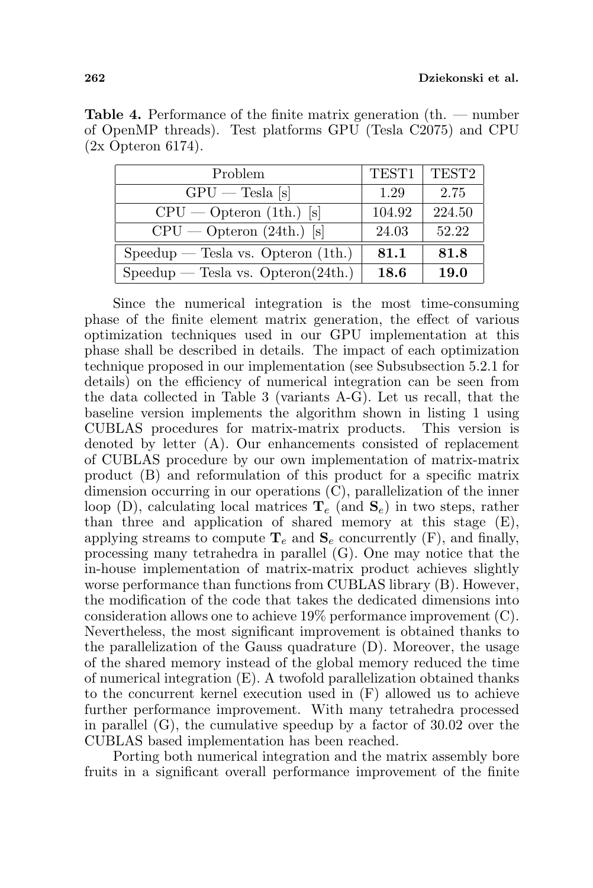| Problem                              | TEST1  | TEST <sub>2</sub> |
|--------------------------------------|--------|-------------------|
| $GPU$ – Tesla [s]                    | 1.29   | 2.75              |
| $CPU - Option (1th.)$ [s]            | 104.92 | 224.50            |
| $CPU$ - Opteron $(24th.)$ [s]        | 24.03  | 52.22             |
| $Speedup$ - Tesla vs. Opteron (1th.) | 81.1   | 81.8              |
| $Speedup$ - Tesla vs. Opteron(24th.) | 18.6   | <b>19.0</b>       |

Table 4. Performance of the finite matrix generation (th. — number of OpenMP threads). Test platforms GPU (Tesla C2075) and CPU (2x Opteron 6174).

Since the numerical integration is the most time-consuming phase of the finite element matrix generation, the effect of various optimization techniques used in our GPU implementation at this phase shall be described in details. The impact of each optimization technique proposed in our implementation (see Subsubsection 5.2.1 for details) on the efficiency of numerical integration can be seen from the data collected in Table 3 (variants A-G). Let us recall, that the baseline version implements the algorithm shown in listing 1 using CUBLAS procedures for matrix-matrix products. This version is denoted by letter (A). Our enhancements consisted of replacement of CUBLAS procedure by our own implementation of matrix-matrix product (B) and reformulation of this product for a specific matrix dimension occurring in our operations (C), parallelization of the inner loop (D), calculating local matrices  $T_e$  (and  $S_e$ ) in two steps, rather than three and application of shared memory at this stage (E), applying streams to compute  $\mathbf{T}_e$  and  $\mathbf{S}_e$  concurrently (F), and finally, processing many tetrahedra in parallel (G). One may notice that the in-house implementation of matrix-matrix product achieves slightly worse performance than functions from CUBLAS library (B). However, the modification of the code that takes the dedicated dimensions into consideration allows one to achieve 19% performance improvement (C). Nevertheless, the most significant improvement is obtained thanks to the parallelization of the Gauss quadrature (D). Moreover, the usage of the shared memory instead of the global memory reduced the time of numerical integration (E). A twofold parallelization obtained thanks to the concurrent kernel execution used in (F) allowed us to achieve further performance improvement. With many tetrahedra processed in parallel  $(G)$ , the cumulative speedup by a factor of 30.02 over the CUBLAS based implementation has been reached.

Porting both numerical integration and the matrix assembly bore fruits in a significant overall performance improvement of the finite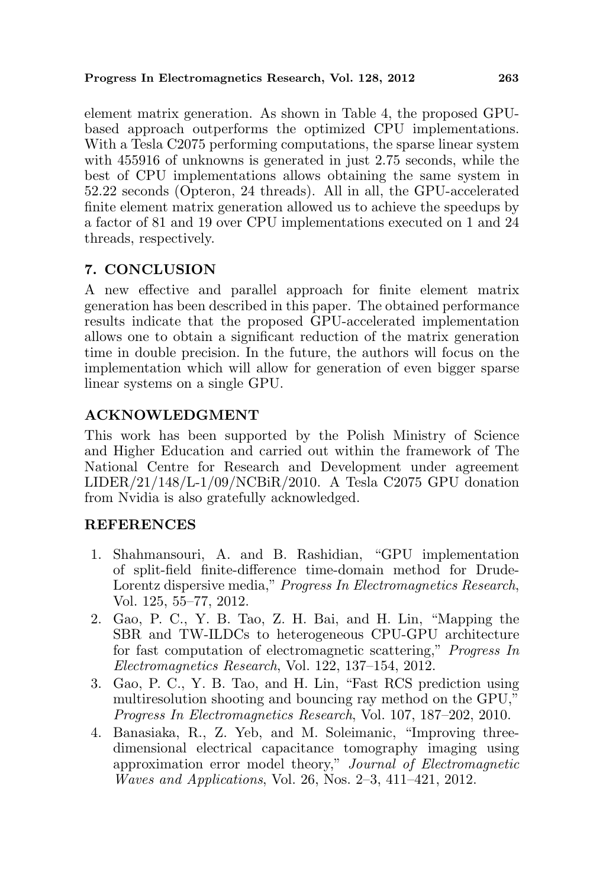element matrix generation. As shown in Table 4, the proposed GPUbased approach outperforms the optimized CPU implementations. With a Tesla C2075 performing computations, the sparse linear system with 455916 of unknowns is generated in just 2.75 seconds, while the best of CPU implementations allows obtaining the same system in 52.22 seconds (Opteron, 24 threads). All in all, the GPU-accelerated finite element matrix generation allowed us to achieve the speedups by a factor of 81 and 19 over CPU implementations executed on 1 and 24 threads, respectively.

# 7. CONCLUSION

A new effective and parallel approach for finite element matrix generation has been described in this paper. The obtained performance results indicate that the proposed GPU-accelerated implementation allows one to obtain a significant reduction of the matrix generation time in double precision. In the future, the authors will focus on the implementation which will allow for generation of even bigger sparse linear systems on a single GPU.

# ACKNOWLEDGMENT

This work has been supported by the Polish Ministry of Science and Higher Education and carried out within the framework of The National Centre for Research and Development under agreement  $LIDER/21/148/L-1/09/NCBiR/2010$ . A Tesla C2075 GPU donation from Nvidia is also gratefully acknowledged.

# REFERENCES

- 1. Shahmansouri, A. and B. Rashidian, "GPU implementation of split-field finite-difference time-domain method for Drude-Lorentz dispersive media," Progress In Electromagnetics Research, Vol. 125, 55–77, 2012.
- 2. Gao, P. C., Y. B. Tao, Z. H. Bai, and H. Lin, "Mapping the SBR and TW-ILDCs to heterogeneous CPU-GPU architecture for fast computation of electromagnetic scattering," Progress In Electromagnetics Research, Vol. 122, 137–154, 2012.
- 3. Gao, P. C., Y. B. Tao, and H. Lin, "Fast RCS prediction using multiresolution shooting and bouncing ray method on the GPU," Progress In Electromagnetics Research, Vol. 107, 187–202, 2010.
- 4. Banasiaka, R., Z. Yeb, and M. Soleimanic, "Improving threedimensional electrical capacitance tomography imaging using approximation error model theory," Journal of Electromagnetic Waves and Applications, Vol. 26, Nos. 2–3, 411–421, 2012.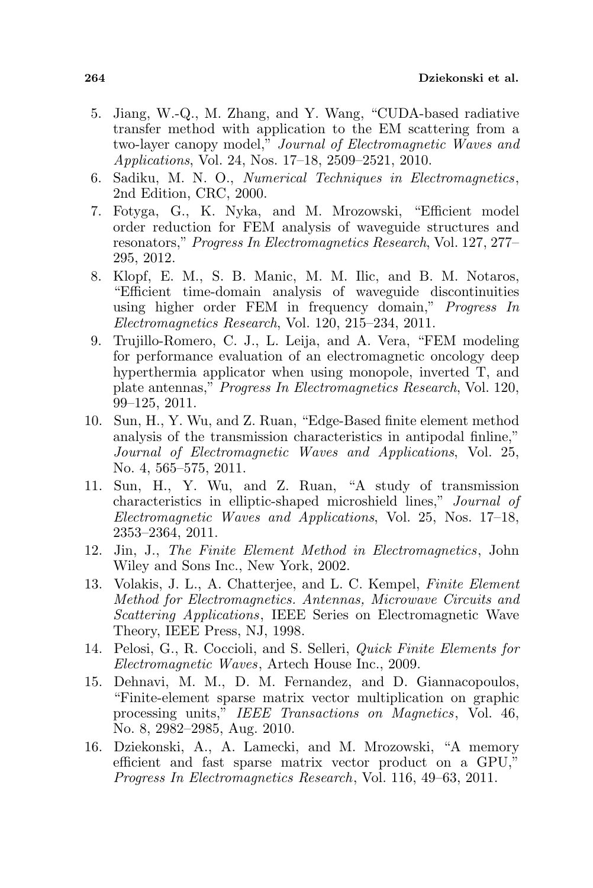- 5. Jiang, W.-Q., M. Zhang, and Y. Wang, "CUDA-based radiative transfer method with application to the EM scattering from a two-layer canopy model," Journal of Electromagnetic Waves and Applications, Vol. 24, Nos. 17–18, 2509–2521, 2010.
- 6. Sadiku, M. N. O., Numerical Techniques in Electromagnetics, 2nd Edition, CRC, 2000.
- 7. Fotyga, G., K. Nyka, and M. Mrozowski, "Efficient model order reduction for FEM analysis of waveguide structures and resonators," Progress In Electromagnetics Research, Vol. 127, 277– 295, 2012.
- 8. Klopf, E. M., S. B. Manic, M. M. Ilic, and B. M. Notaros, "Efficient time-domain analysis of waveguide discontinuities using higher order FEM in frequency domain," Progress In Electromagnetics Research, Vol. 120, 215–234, 2011.
- 9. Trujillo-Romero, C. J., L. Leija, and A. Vera, "FEM modeling for performance evaluation of an electromagnetic oncology deep hyperthermia applicator when using monopole, inverted T, and plate antennas," Progress In Electromagnetics Research, Vol. 120, 99–125, 2011.
- 10. Sun, H., Y. Wu, and Z. Ruan, "Edge-Based finite element method analysis of the transmission characteristics in antipodal finline," Journal of Electromagnetic Waves and Applications, Vol. 25, No. 4, 565–575, 2011.
- 11. Sun, H., Y. Wu, and Z. Ruan, "A study of transmission characteristics in elliptic-shaped microshield lines," Journal of Electromagnetic Waves and Applications, Vol. 25, Nos. 17–18, 2353–2364, 2011.
- 12. Jin, J., The Finite Element Method in Electromagnetics, John Wiley and Sons Inc., New York, 2002.
- 13. Volakis, J. L., A. Chatterjee, and L. C. Kempel, Finite Element Method for Electromagnetics. Antennas, Microwave Circuits and Scattering Applications, IEEE Series on Electromagnetic Wave Theory, IEEE Press, NJ, 1998.
- 14. Pelosi, G., R. Coccioli, and S. Selleri, Quick Finite Elements for Electromagnetic Waves, Artech House Inc., 2009.
- 15. Dehnavi, M. M., D. M. Fernandez, and D. Giannacopoulos, "Finite-element sparse matrix vector multiplication on graphic processing units," IEEE Transactions on Magnetics, Vol. 46, No. 8, 2982–2985, Aug. 2010.
- 16. Dziekonski, A., A. Lamecki, and M. Mrozowski, "A memory efficient and fast sparse matrix vector product on a GPU," Progress In Electromagnetics Research, Vol. 116, 49–63, 2011.